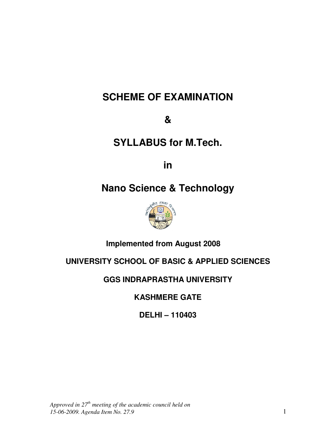# **SCHEME OF EXAMINATION**

**&** 

# **SYLLABUS for M.Tech.**

**in** 

# **Nano Science & Technology**



# **Implemented from August 2008**

# **UNIVERSITY SCHOOL OF BASIC & APPLIED SCIENCES**

# **GGS INDRAPRASTHA UNIVERSITY**

**KASHMERE GATE** 

**DELHI – 110403**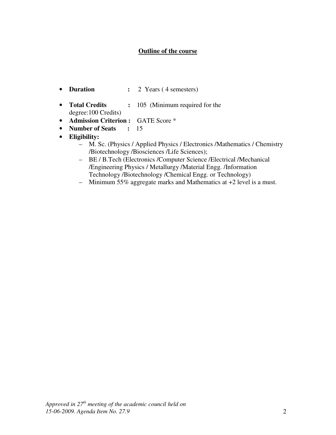## **Outline of the course**

- **Duration** : 2 Years (4 semesters)
- **Total Credits :** 105 (Minimum required for the degree:100 Credits)
- **Admission Criterion :** GATE Score \*
- **Number of Seats :** 15
- **Eligibility:**
	- M. Sc. (Physics / Applied Physics / Electronics /Mathematics / Chemistry /Biotechnology /Biosciences /Life Sciences);
	- BE / B.Tech (Electronics /Computer Science /Electrical /Mechanical /Engineering Physics / Metallurgy /Material Engg. /Information Technology /Biotechnology /Chemical Engg. or Technology)
	- Minimum 55% aggregate marks and Mathematics at +2 level is a must.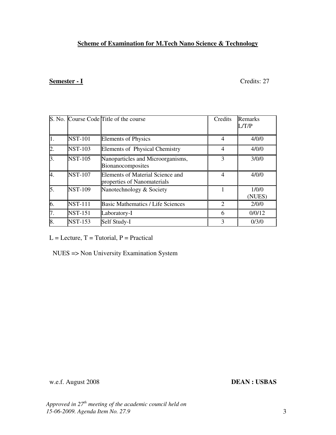## **Scheme of Examination for M.Tech Nano Science & Technology**

## **Semester - I** Credits: 27

|                |                | S. No. Course Code Title of the course                          | Credits        | <b>Remarks</b><br>L/T/P |
|----------------|----------------|-----------------------------------------------------------------|----------------|-------------------------|
| 1.             | <b>NST-101</b> | <b>Elements of Physics</b>                                      | $\overline{4}$ | 4/0/0                   |
| $\overline{2}$ | <b>NST-103</b> | <b>Elements of Physical Chemistry</b>                           | $\overline{4}$ | 4/0/0                   |
| 3.             | <b>NST-105</b> | Nanoparticles and Microorganisms,<br>Bionanocomposites          | $\mathcal{E}$  | 3/0/0                   |
| 4.             | <b>NST-107</b> | Elements of Material Science and<br>properties of Nanomaterials | $\overline{4}$ | 4/0/0                   |
| 5.             | <b>NST-109</b> | Nanotechnology & Society                                        |                | 1/0/0<br>(NUES)         |
| 6.             | <b>NST-111</b> | <b>Basic Mathematics / Life Sciences</b>                        | $\overline{2}$ | 2/0/0                   |
| 7.             | <b>NST-151</b> | Laboratory-I                                                    | 6              | 0/0/12                  |
| 8.             | <b>NST-153</b> | Self Study-I                                                    | 3              | 0/3/0                   |

 $L =$  Lecture,  $T =$  Tutorial,  $P =$  Practical

NUES => Non University Examination System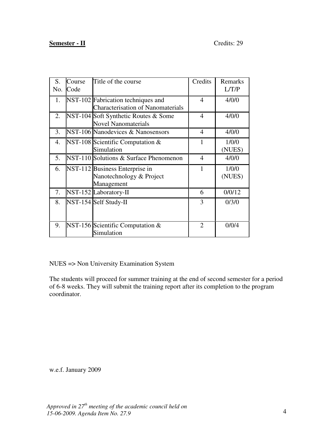## **Semester - II** Credits: 29

| S.<br>No. | Course<br>Code | Title of the course                                                            | Credits        | Remarks<br>L/T/P |
|-----------|----------------|--------------------------------------------------------------------------------|----------------|------------------|
| 1.        |                | NST-102 Fabrication techniques and<br><b>Characterisation of Nanomaterials</b> | 4              | 4/0/0            |
| 2.        |                | NST-104 Soft Synthetic Routes & Some<br><b>Novel Nanomaterials</b>             | 4              | 4/0/0            |
| 3.        |                | NST-106 Nanodevices & Nanosensors                                              | $\overline{4}$ | 4/0/0            |
| 4.        |                | NST-108 Scientific Computation $\&$<br>Simulation                              | 1              | 1/0/0<br>(NUES)  |
| 5.        |                | NST-110 Solutions & Surface Phenomenon                                         | 4              | 4/0/0            |
| 6.        |                | NST-112 Business Enterprise in<br>Nanotechnology & Project<br>Management       | 1              | 1/0/0<br>(NUES)  |
| 7.        |                | NST-152 Laboratory-II                                                          | 6              | 0/0/12           |
| 8.        |                | NST-154 Self Study-II                                                          | 3              | 0/3/0            |
| 9.        |                | NST-156 Scientific Computation $&$<br>Simulation                               | $\overline{2}$ | 0/0/4            |

NUES => Non University Examination System

The students will proceed for summer training at the end of second semester for a period of 6-8 weeks. They will submit the training report after its completion to the program coordinator.

w.e.f. January 2009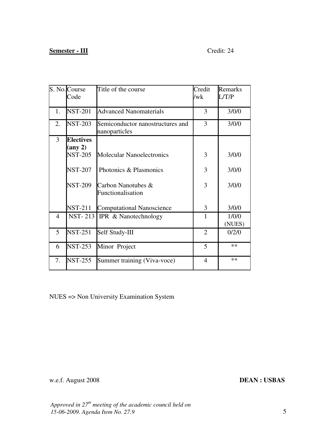## **Semester - III** Credit: 24

|                | S. No. Course<br>Code                 | Title of the course                               | Credit<br>/wk  | Remarks<br>L/T/P |
|----------------|---------------------------------------|---------------------------------------------------|----------------|------------------|
| 1.             | <b>NST-201</b>                        | <b>Advanced Nanomaterials</b>                     | 3              | 3/0/0            |
| 2.             | <b>NST-203</b>                        | Semiconductor nanostructures and<br>nanoparticles | 3              | 3/0/0            |
| 3              | <b>Electives</b><br>$(\text{any } 2)$ |                                                   |                |                  |
|                | <b>NST-205</b>                        | <b>Molecular Nanoelectronics</b>                  | 3              | 3/0/0            |
|                | <b>NST-207</b>                        | Photonics & Plasmonics                            | 3              | 3/0/0            |
|                | <b>NST-209</b>                        | Carbon Nanotubes &<br>Functionalisation           | 3              | 3/0/0            |
|                | <b>NST-211</b>                        | <b>Computational Nanoscience</b>                  | 3              | 3/0/0            |
| $\overline{4}$ |                                       | NST-213   IPR & Nanotechnology                    | 1              | 1/0/0<br>(NUES)  |
| 5              | <b>NST-251</b>                        | Self Study-III                                    | $\overline{2}$ | 0/2/0            |
| 6              | <b>NST-253</b>                        | Minor Project                                     | 5              | $***$            |
| 7.             | <b>NST-255</b>                        | Summer training (Viva-voce)                       | $\overline{4}$ | **               |

NUES => Non University Examination System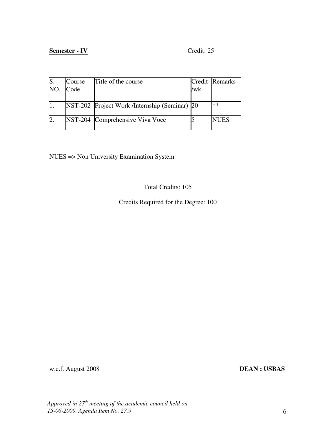## **Semester - IV** Credit: 25

| S.  | Course | Title of the course                           |     | Credit Remarks |
|-----|--------|-----------------------------------------------|-----|----------------|
| NO. | Code   |                                               | /wk |                |
|     |        |                                               |     |                |
|     |        | NST-202 Project Work /Internship (Seminar) 20 |     | **             |
|     |        | NST-204 Comprehensive Viva Voce               |     | <b>NUES</b>    |

NUES => Non University Examination System

Total Credits: 105

Credits Required for the Degree: 100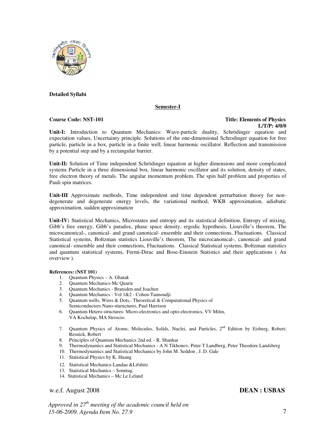

### **Detailed Syllabi**

#### **Semester-I**

### **Course Code: NST-101 Title: Elements of Physics L/T/P: 4/0/0**

**Unit-I:** Introduction to Quantum Mechanics: Wave-particle duality, Schrödinger equation and expectation values, Uncertainty principle. Solutions of the one-dimensional Schrodinger equation for free particle, particle in a box, particle in a finite well, linear harmonic oscillator. Reflection and transmission by a potential step and by a rectangular barrier.

**Unit-II:** Solution of Time independent Schrödinger equation at higher dimensions and more complicated systems Particle in a three dimensional box, linear harmonic oscillator and its solution, density of states, free electron theory of metals. The angular momentum problem. The spin half problem and properties of Pauli spin matrices.

**Unit-III** Approximate methods, Time independent and time dependent perturbation theory for nondegenerate and degenerate energy levels, the variational method, WKB approximation, adiabatic approximation, sudden approximation

**Unit-IV:** Statistical Mechanics, Microstates and entropy and its statistical definition, Entropy of mixing, Gibb's free energy, Gibb's paradox, phase space density, ergodic hypothesis, Liouville's theorem, The microcanonical-, canonical- and grand canonical- ensemble and their connections, Fluctuations. Classical Statistical systems, Boltzman statistics Liouville's theorem, The microcanonical-, canonical- and grand canonical- ensemble and their connections, Fluctuations. Classical Statistical systems, Boltzman statistics and quantum statistical systems, Fermi-Dirac and Bose-Einstein Statistics and their applications ( An overview ).

#### **References: (NST 101)**

- 1. Quantum Physics A. Ghatak
- 2. Quantum Mechanics-Mc Quarie
- 3. Quantum Mechanics Bransden and Joachen
- 4. Quantum Mechanics Vol 1&2 Cohen-Tannoudji
- 5. Quantum wells, Wires & Dots,: Theoretical & Computational Physics of Semiconductors Nano-stuructures, Paul Harrison
- 6. Quantum Hetero-structures: Micro-electronics and opto-electronics, VV Mitin, VA Kochelap, MA Stroscio.
- 7. Quantum Physics of Atoms, Molecules, Solids, Nuclei, and Particles, 2<sup>nd</sup> Edition by Eisberg, Robert; Resnick, Robert
- 8. Principles of Quantum Mechanics 2nd ed. R. Shankar
- 9. Thermodynamics and Statistical Mechanics A N Tikhonov, Peter T Landberg, Peter Theodore Landsberg
- 10. Thermodynamics and Statistical Mechanics by John M. Seddon , J. D. Gale
- 11. Statistical Physics by K. Huang
- 12. Statistical Mechanics-Landau &Lifshitz
- 13. Statistical Mechanics Sonntag.
- 14. Statistical Mechanics Mc Le Leland

### w.e.f. August 2008 **DEAN : USBAS**

*Approved in 27th meeting of the academic council held on 15-06-2009. Agenda Item No. 27.9*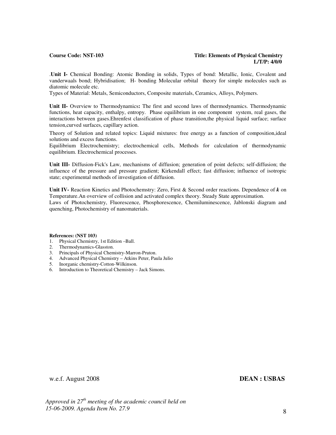### **Course Code: NST-103** Title: Elements of Physical Chemistry<br>L/T/P: 4/0/0  **L/T/P: 4/0/0**

.**Unit I-** Chemical Bonding: Atomic Bonding in solids, Types of bond: Metallic, Ionic, Covalent and vanderwaals bond; Hybridisation; H- bonding Molecular orbital theory for simple molecules such as diatomic molecule etc.

Types of Material: Metals, Semiconductors, Composite materials, Ceramics, Alloys, Polymers.

**Unit II-** Overview to Thermodynamics**:** The first and second laws of thermodynamics. Thermodynamic functions, heat capacity, enthalpy, entropy. Phase equilibrium in one component system, real gases, the interactions between gases.Ehrenfest classification of phase transition,the physical liquid surface; surface tension,curved surfaces, capillary action.

Theory of Solution and related topics: Liquid mixtures: free energy as a function of composition,ideal solutions and excess functions.

Equilibrium Electrochemistry; electrochemical cells, Methods for calculation of thermodynamic equilibrium. Electrochemical processes.

**Unit III-** Diffusion-Fick's Law, mechanisms of diffusion; generation of point defects; self-diffusion; the influence of the pressure and pressure gradient; Kirkendall effect; fast diffusion; influence of isotropic state; experimental methods of investigation of diffusion.

**Unit IV-** Reaction Kinetics and Photochemstry: Zero, First & Second order reactions. Dependence of *k* on Temperature.An overview of collision and activated complex theory. Steady State approximation. Laws of Photochemistry, Fluorescence, Phosphorescence, Chemiluminescence, Jablonski diagram and quenching, Photochemistry of nanomaterials.

#### **References: (NST 103)**

- 1. Physical Chemistry, 1st Edition –Ball.
- 2. Thermodynamics-Glasston.
- 3. Principals of Physical Chemistry-Marron-Pruton.
- 4. Advanced Physical Chemistry Atkins Peter, Paula Julio
- 5. Inorganic chemistry-Cotton-Wilkinson.
- 6. Introduction to Theoretical Chemistry Jack Simons.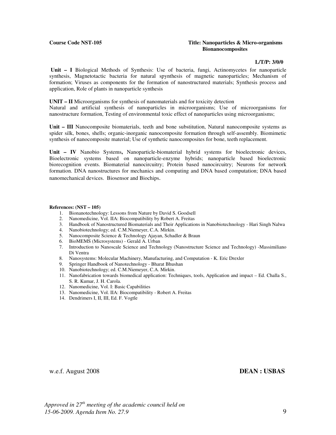### **Course Code NST-105 Title: Nanoparticles & Micro-organisms Bionanocomposites**

### **L/T/P: 3/0/0**

**Unit – I** Biological Methods of Synthesis: Use of bacteria, fungi, Actinomycetes for nanoparticle synthesis, Magnetotactic bacteria for natural spynthesis of magnetic nanoparticles; Mechanism of formation; Viruses as components for the formation of nanostructured materials; Synthesis process and application, Role of plants in nanoparticle synthesis

**UNIT – II** Microorganisms for synthesis of nanomaterials and for toxicity detection Natural and artificial synthesis of nanoparticles in microorganisms; Use of microorganisms for nanostructure formation, Testing of environmental toxic effect of nanoparticles using microorganisms;

**Unit – III** Nanocomposite biomaterials, teeth and bone substitution, Natural nanocomposite systems as spider silk, bones, shells; organic-inorganic nanocomposite formation through self-assembly. Biomimetic synthesis of nanocomposite material; Use of synthetic nanocomposites for bone, teeth replacement.

**Unit – IV** Nanobio Systems**,** Nanoparticle-biomaterial hybrid systems for bioelectronic devices, Bioelectronic systems based on nanoparticle-enzyme hybrids; nanoparticle based bioelectronic biorecognition events. Biomaterial nanocircuitry; Protein based nanocircuitry; Neurons for network formation. DNA nanostructures for mechanics and computing and DNA based computation; DNA based nanomechanical devices. Biosensor and Biochips.

#### **References: (NST – 105)**

- 1. Bionanotechnology: Lessons from Nature by David S. Goodsell
- 2. Nanomedicine, Vol. IIA: Biocompatibility by Robert A. Freitas
- 3. Handbook of Nanostructured Biomaterials and Their Applications in Nanobiotechnology Hari Singh Nalwa
- 4. Nanobiotechnology; ed. C.M.Niemeyer, C.A. Mirkin.
- 5. Nanocomposite Science & Technology Ajayan, Schadler & Braun
- 6. BioMEMS (Microsystems) Gerald A. Urban
- 7. Introduction to Nanoscale Science and Technology (Nanostructure Science and Technology) -Massimiliano Di Ventra
- 8. Nanosystems: Molecular Machinery, Manufacturing, and Computation K. Eric Drexler
- 9. Springer Handbook of Nanotechnology Bharat Bhushan
- 10. Nanobiotechnology; ed. C.M.Niemeyer, C.A. Mirkin.
- 11. Nanofabrication towards biomedical application: Techniques, tools, Application and impact Ed. Challa S., S. R. Kumar, J. H. Carola.
- 12. Nanomedicine, Vol. I: Basic Capabilities
- 13. Nanomedicine, Vol. IIA: Biocompatibility Robert A. Freitas
- 14. Dendrimers I, II, III, Ed. F. Vogtle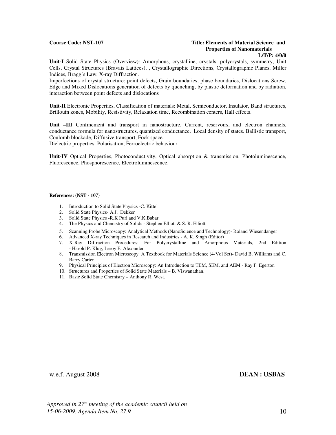### **Course Code: NST-107 Title: Elements of Material Science and Properties of Nanomaterials**

#### **L/T/P: 4/0/0**

**Unit-I** Solid State Physics (Overview): Amorphous, crystalline, crystals, polycrystals, symmetry, Unit Cells, Crystal Structures (Bravais Lattices), , Crystallographic Directions, Crystallographic Planes, Miller Indices, Bragg's Law, X-ray Diffraction.

Imperfections of crystal structure: point defects, Grain boundaries, phase boundaries, Dislocations Screw, Edge and Mixed Dislocations generation of defects by quenching, by plastic deformation and by radiation, interaction between point defects and dislocations

**Unit-II** Electronic Properties, Classification of materials: Metal, Semiconductor, Insulator, Band structures, Brillouin zones, Mobility, Resistivity, Relaxation time, Recombination centers, Hall effects.

**Unit –III** Confinement and transport in nanostructure, Current, reservoirs, and electron channels, conductance formula for nanostructures, quantized conductance. Local density of states. Ballistic transport, Coulomb blockade, Diffusive transport, Fock space.

Dielectric properties: Polarisation, Ferroelectric behaviour.

**Unit-IV** Optical Properties, Photoconductivity, Optical absorption & transmission, Photoluminescence, Fluorescence, Phosphorescence, Electroluminescence.

#### **References: (NST - 107)**

.

- 1. Introduction to Solid State Physics -C. Kittel
- 2. Solid State Physics- A.J. Dekker
- 3. Solid State Physics -R.K Puri and V.K.Babar
- 4. The Physics and Chemistry of Solids Stephen Elliott & S. R. Elliott
- 5. Scanning Probe Microscopy: Analytical Methods (NanoScience and Technology)- Roland Wiesendanger
- 6. Advanced X-ray Techniques in Research and Industries A. K. Singh (Editor)
- 7. X-Ray Diffraction Procedures: For Polycrystalline and Amorphous Materials, 2nd Edition - Harold P. Klug, Leroy E. Alexander
- 8. Transmission Electron Microscopy: A Textbook for Materials Science (4-Vol Set)- David B. Williams and C. Barry Carter
- 9. Physical Principles of Electron Microscopy: An Introduction to TEM, SEM, and AEM Ray F. Egerton
- 10. Structures and Properties of Solid State Materials B. Viswanathan.
- 11. Basic Solid State Chemistry Anthony R. West.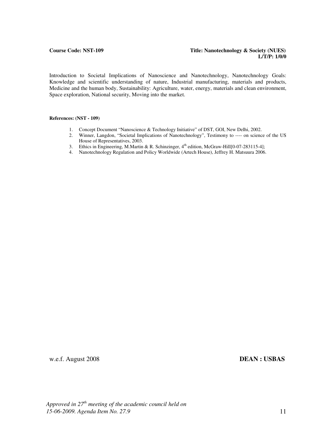Introduction to Societal Implications of Nanoscience and Nanotechnology, Nanotechnology Goals: Knowledge and scientific understanding of nature, Industrial manufacturing, materials and products, Medicine and the human body, Sustainability: Agriculture, water, energy, materials and clean environment, Space exploration, National security, Moving into the market.

#### **References: (NST - 109)**

- 1. Concept Document "Nanoscience & Technology Initiative" of DST, GOI, New Delhi, 2002.
- 2. Winner, Langdon, "Societal Implications of Nanotechnology", Testimony to ---- on science of the US House of Representatives, 2003.
- 3. Ethics in Engineering, M.Martin & R. Schinzinger, 4<sup>th</sup> edition, McGraw-Hill[0-07-283115-4];
- 4. Nanotechnology Regulation and Policy Worldwide (Artech House), Jeffrey H. Matsuura 2006.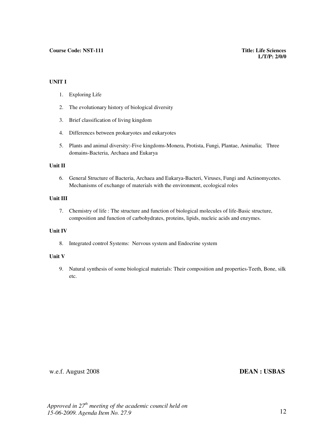### **UNIT I**

- 1. Exploring Life
- 2. The evolutionary history of biological diversity
- 3. Brief classification of living kingdom
- 4. Differences between prokaryotes and eukaryotes
- 5. Plants and animal diversity:-Five kingdoms-Monera, Protista, Fungi, Plantae, Animalia; Three domains-Bacteria, Archaea and Eukarya

### **Unit II**

6. General Structure of Bacteria, Archaea and Eukarya-Bacteri, Viruses, Fungi and Actinomycetes. Mechanisms of exchange of materials with the environment, ecological roles

### **Unit III**

7. Chemistry of life : The structure and function of biological molecules of life-Basic structure, composition and function of carbohydrates, proteins, lipids, nucleic acids and enzymes.

### **Unit IV**

8. Integrated control Systems: Nervous system and Endocrine system

### **Unit V**

9. Natural synthesis of some biological materials: Their composition and properties-Teeth, Bone, silk etc.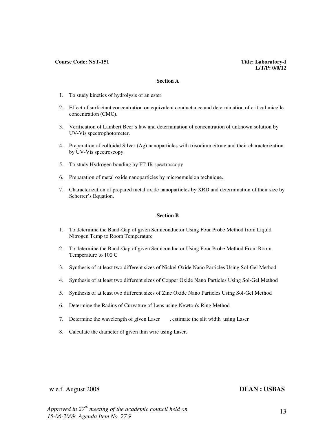#### **Course Code: NST-151 Title: Laboratory-I**

#### **Section A**

- 1. To study kinetics of hydrolysis of an ester.
- 2. Effect of surfactant concentration on equivalent conductance and determination of critical micelle concentration (CMC).
- 3. Verification of Lambert Beer's law and determination of concentration of unknown solution by UV-Vis spectrophotometer.
- 4. Preparation of colloidal Silver (Ag) nanoparticles with trisodium citrate and their characterization by UV-Vis spectroscopy.
- 5. To study Hydrogen bonding by FT-IR spectroscopy
- 6. Preparation of metal oxide nanoparticles by microemulsion technique.
- 7. Characterization of prepared metal oxide nanoparticles by XRD and determination of their size by Scherrer's Equation.

#### **Section B**

- 1. To determine the Band-Gap of given Semiconductor Using Four Probe Method from Liquid Nitrogen Temp to Room Temperature
- 2. To determine the Band-Gap of given Semiconductor Using Four Probe Method From Room Temperature to 100 C
- 3. Synthesis of at least two different sizes of Nickel Oxide Nano Particles Using Sol-Gel Method
- 4. Synthesis of at least two different sizes of Copper Oxide Nano Particles Using Sol-Gel Method
- 5. Synthesis of at least two different sizes of Zinc Oxide Nano Particles Using Sol-Gel Method
- 6. Determine the Radius of Curvature of Lens using Newton's Ring Method
- 7. Determine the wavelength of given Laser **,** estimate the slit width using Laser
- 8. Calculate the diameter of given thin wire using Laser.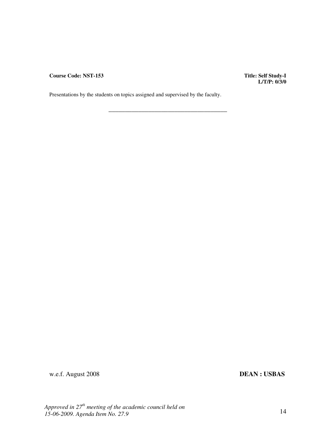**Course Code: NST-153** 

**Title: Self Study-I**<br>**L/T/P: 0/3/0** 

Presentations by the students on topics assigned and supervised by the faculty.

\_\_\_\_\_\_\_\_\_\_\_\_\_\_\_\_\_\_\_\_\_\_\_\_\_\_\_\_\_\_\_\_\_\_\_\_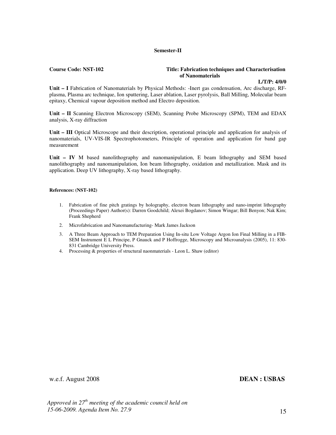### **Semester-II**

#### **Course Code: NST-102** Title: Fabrication techniques and Characterisation **Title:** Fabrication techniques and Characterisation  **of Nanomaterials**

### **L/T/P: 4/0/0**

**Unit – I** Fabrication of Nanomaterials by Physical Methods: -Inert gas condensation, Arc discharge, RFplasma, Plasma arc technique, Ion sputtering, Laser ablation, Laser pyrolysis, Ball Milling, Molecular beam epitaxy, Chemical vapour deposition method and Electro deposition.

Unit - II Scanning Electron Microscopy (SEM), Scanning Probe Microscopy (SPM), TEM and EDAX analysis, X-ray diffraction

**Unit – III** Optical Microscope and their description, operational principle and application for analysis of nanomaterials, UV-VIS-IR Spectrophotometers, Principle of operation and application for band gap measurement

**Unit – IV** M based nanolithography and nanomanipulation, E beam lithography and SEM based nanolithography and nanomanipulation, Ion beam lithography, oxidation and metallization. Mask and its application. Deep UV lithography, X-ray based lithography.

#### **References: (NST-102)**

- 1. Fabrication of fine pitch gratings by holography, electron beam lithography and nano-imprint lithography (Proceedings Paper) Author(s): Darren Goodchild; Alexei Bogdanov; Simon Wingar; Bill Benyon; Nak Kim; Frank Shepherd
- 2. Microfabrication and Nanomanufacturing- Mark James Jackson
- 3. A Three Beam Approach to TEM Preparation Using In-situ Low Voltage Argon Ion Final Milling in a FIB-SEM Instrument E L Principe, P Gnauck and P Hoffrogge, Microscopy and Microanalysis (2005), 11: 830- 831 Cambridge University Press.
- 4. Processing & properties of structural naonmaterials Leon L. Shaw (editor)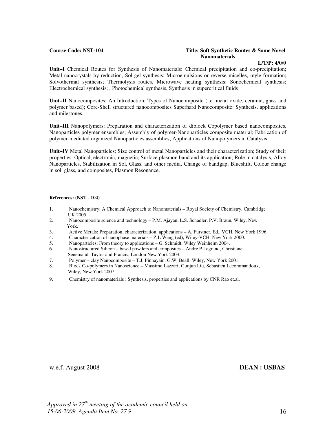#### **Course Code: NST-104 Title: Soft Synthetic Routes & Some Novel Nanomaterials**

### **L/T/P: 4/0/0**

Unit–I Chemical Routes for Synthesis of Nanomaterials: Chemical precipitation and co-precipitation; Metal nanocrystals by reduction, Sol-gel synthesis; Microemulsions or reverse micelles, myle formation; Solvothermal synthesis; Thermolysis routes, Microwave heating synthesis; Sonochemical synthesis; Electrochemical synthesis; , Photochemical synthesis, Synthesis in supercritical fluids

**Unit–II** Nanocomposites: An Introduction: Types of Nanocomposite (i.e. metal oxide, ceramic, glass and polymer based); Core-Shell structured nanocomposites Superhard Nanocomposite: Synthesis, applications and milestones.

**Unit–III** Nanopolymers: Preparation and characterization of diblock Copolymer based nanocomposites, Nanoparticles polymer ensembles; Assembly of polymer-Nanoparticles composite material; Fabrication of polymer-mediated organized Nanoparticles assemblies; Applications of Nanopolymers in Catalysis

**Unit–IV** Metal Nanoparticles: Size control of metal Nanoparticles and their characterization; Study of their properties: Optical, electronic, magnetic; Surface plasmon band and its application; Role in catalysis, Alloy Nanoparticles, Stabilization in Sol, Glass, and other media, Change of bandgap, Blueshift, Colour change in sol, glass, and composites, Plasmon Resonance.

#### **References: (NST - 104)**

- 1. Nanochemistry: A Chemical Approach to Nanomaterials Royal Society of Chemistry, Cambridge UK 2005.<br>2. Nanocon
- Nanocomposite science and technology P.M. Ajayan, L.S. Schadler, P.V. Braun, Wiley, New York.<br>3. Activ
- 3. Active Metals: Preparation, characterization, applications A. Furstner, Ed., VCH, New York 1996.
- 4. Characterization of nanophase materials Z.L Wang (ed), Wiley-VCH, New York 2000.
- 5. Nanoparticles: From theory to applications G. Schmidt, Wiley Weinheim 2004.
- 6. Nanostructured Silicon based powders and composites Andre P Legrand, Christiane Senemaud, Taylor and Francis, London New York 2003.<br>7. Polymer – clav Nanocomposite – T.J. Pinnavain, G.W. B
- 7. Polymer clay Nanocomposite T.J. Pinnayain, G.W. Beall, Wiley, New York 2001.
- 8. Block Co-polymers in Nanoscience Massimo Lazzari, Guojun Liu, Sebastien Lecommandoux, Wiley, New York 2007.
- 9. Chemistry of nanomaterials : Synthesis, properties and applications by CNR Rao et.al.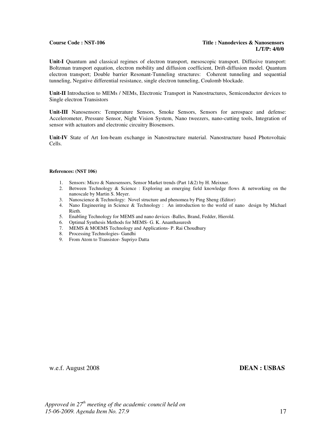#### **Course Code : NST-106 Title : Nanodevices & Nanosensors L/T/P: 4/0/0**

**Unit-I** Quantum and classical regimes of electron transport, mesoscopic transport. Diffusive transport: Boltzman transport equation, electron mobility and diffusion coefficient, Drift-diffusion model. Quantum electron transport; Double barrier Resonant-Tunneling structures: Coherent tunneling and sequential tunneling, Negative differential resistance, single electron tunneling, Coulomb blockade.

**Unit-II** Introduction to MEMs / NEMs, Electronic Transport in Nanostructures, Semiconductor devices to Single electron Transistors

**Unit-III** Nanosensors: Temperature Sensors, Smoke Sensors, Sensors for aerospace and defense: Accelerometer, Pressure Sensor, Night Vision System, Nano tweezers, nano-cutting tools, Integration of sensor with actuators and electronic circuitry Biosensors.

**Unit-IV** State of Art Ion-beam exchange in Nanostructure material. Nanostructure based Photovoltaic Cells.

#### **References: (NST 106)**

- 1. Sensors: Micro & Nanosensors, Sensor Market trends (Part 1&2) by H. Meixner.
- 2. Between Technology & Science : Exploring an emerging field knowledge flows & networking on the nanoscale by Martin S. Meyer.
- 3. Nanoscience & Technology: Novel structure and phenomea by Ping Sheng (Editor)
- 4. Nano Engineering in Science & Technology : An introduction to the world of nano design by Michael Rieth.
- 5. Enabling Technology for MEMS and nano devices -Balles, Brand, Fedder, Hierold.
- 6. Optimal Synthesis Methods for MEMS- G. K. Ananthasuresh
- 7. MEMS & MOEMS Technology and Applications- P. Rai Choudhury
- 8. Processing Technologies- Gandhi
- 9. From Atom to Transistor- Supriyo Datta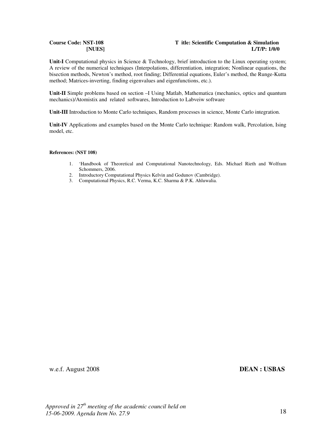### **Course Code: NST-108 T itle: Scientific Computation & Simulation [NUES] L/T/P: 1/0/0**

Unit-I Computational physics in Science & Technology, brief introduction to the Linux operating system; A review of the numerical techniques (Interpolations, differentiation, integration; Nonlinear equations, the bisection methods, Newton's method, root finding; Differential equations, Euler's method, the Runge-Kutta method; Matrices-inverting, finding eigenvalues and eigenfunctions, etc.).

**Unit-II** Simple problems based on section –I Using Matlab, Mathematica (mechanics, optics and quantum mechanics)/Atomistix and related softwares, Introduction to Labveiw software

**Unit-III** Introduction to Monte Carlo techniques, Random processes in science, Monte Carlo integration.

**Unit-IV** Applications and examples based on the Monte Carlo technique: Random walk, Percolation, Ising model, etc.

#### **References: (NST 108)**

- 1. 'Handbook of Theoretical and Computational Nanotechnology, Eds. Michael Rieth and Wolfram Schommers, 2006.
- 2. Introductory Computational Physics Kelvin and Godunov (Cambridge).
- 3. Computational Physics, R.C. Verma, K.C. Sharma & P.K. Ahluwalia.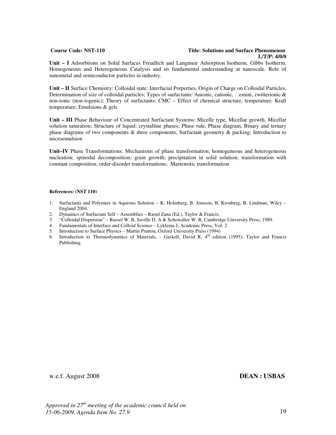#### **Course Code: NST-110 Title: Solutions and Surface Phenomenon L/T/P: 4/0/0**

**Unit – I** Adsorbtions on Solid Surfaces Freudlich and Langmuir Adsorption Isotherm. Gibbs Isotherm. Homogeneous and Heterogeneous Catalysis and its fundamental understanding at nanoscale. Role of nanometal and semiconductor particles in industry.

**Unit – II** Surface Chemistry: Colloidal state: Interfacial Porperties, Origin of Charge on Colloidal Particles, Determination of size of colloidal particles; Types of surfactants: Anionic, cationic, emini, zwitterionic & non-ionic (non-iogenic); Theory of surfactants; CMC – Effect of chemical structure, temperature; Kraft temperature; Emulsions & gels

**Unit – III** Phase Behaviour of Concentrated Surfactant Systems: Micelle type, Micellar growth, Micellar solution saturation; Structure of liquid; crystalline phases; Phase rule, Phase diagram, Binary and ternary phase diagrams of two components & three components, Surfactant geometry & packing; Introduction to microemulsion

**Unit–IV** Phase Transformations: Mechanisms of phase transformation; homogeneous and heterogeneous nucleation; spinodal decomposition; grain growth; precipitation in solid solution; transformation with constant composition; order-disorder transformations; Martensitic transformation

#### **References: (NST 110)**

- 1. Surfactants and Polymers in Aqueous Solution K. Holmberg, B. Jonsson, B. Kronberg, B. Lindman, Wiley England 2004.
- 2. Dynamics of Surfactant Self Assemblies Raoul Zana (Ed.), Taylor & Francis.
- 3. "Colloidal Dispersion" Russel W. B, Saville D. A & Schowalter W. R, Cambridge University Press, 1989.
- 4. Fundamentals of Interface and Colloid Science Lyklema J, Academic Press, Vol- 2
- 5. Introduction to Surface Physics Martin Prutton, Oxford University Press (1994)
- 6. Introduction to Thermodynamics of Materials, Gaskell, David R, 4th edition (1995), Taylor and Francis Publishing.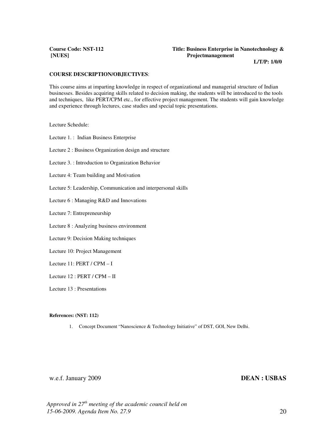### **Course Code: NST-112 Title: Business Enterprise in Nanotechnology & [NUES] Projectmanagement**

 **L/T/P: 1/0/0** 

#### **COURSE DESCRIPTION/OBJECTIVES**:

This course aims at imparting knowledge in respect of organizational and managerial structure of Indian businesses. Besides acquiring skills related to decision making, the students will be introduced to the tools and techniques, like PERT/CPM etc., for effective project management. The students will gain knowledge and experience through lectures, case studies and special topic presentations.

Lecture Schedule:

Lecture 1. : Indian Business Enterprise

Lecture 2 : Business Organization design and structure

Lecture 3. : Introduction to Organization Behavior

Lecture 4: Team building and Motivation

Lecture 5: Leadership, Communication and interpersonal skills

Lecture 6 : Managing R&D and Innovations

Lecture 7: Entrepreneurship

Lecture 8 : Analyzing business environment

Lecture 9: Decision Making techniques

Lecture 10: Project Management

Lecture 11: PERT / CPM – I

Lecture 12 : PERT / CPM – II

Lecture 13 : Presentations

#### **References: (NST: 112)**

1. Concept Document "Nanoscience & Technology Initiative" of DST, GOI, New Delhi.

### w.e.f. January 2009 **DEAN : USBAS**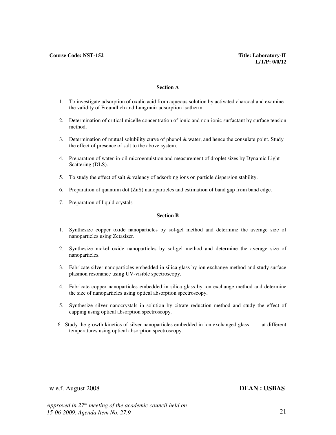#### **Section A**

- 1. To investigate adsorption of oxalic acid from aqueous solution by activated charcoal and examine the validity of Freundlich and Langmuir adsorption isotherm.
- 2. Determination of critical micelle concentration of ionic and non-ionic surfactant by surface tension method.
- 3. Determination of mutual solubility curve of phenol & water, and hence the consulate point. Study the effect of presence of salt to the above system.
- 4. Preparation of water-in-oil microemulstion and measurement of droplet sizes by Dynamic Light Scattering (DLS).
- 5. To study the effect of salt & valency of adsorbing ions on particle dispersion stability.
- 6. Preparation of quantum dot (ZnS) nanoparticles and estimation of band gap from band edge.
- 7. Preparation of liquid crystals

### **Section B**

- 1. Synthesize copper oxide nanoparticles by sol-gel method and determine the average size of nanoparticles using Zetasizer.
- 2. Synthesize nickel oxide nanoparticles by sol-gel method and determine the average size of nanoparticles.
- 3. Fabricate silver nanoparticles embedded in silica glass by ion exchange method and study surface plasmon resonance using UV-visible spectroscopy.
- 4. Fabricate copper nanoparticles embedded in silica glass by ion exchange method and determine the size of nanoparticles using optical absorption spectroscopy.
- 5. Synthesize silver nanocrystals in solution by citrate reduction method and study the effect of capping using optical absorption spectroscopy.
- 6. Study the growth kinetics of silver nanoparticles embedded in ion exchanged glass at different temperatures using optical absorption spectroscopy.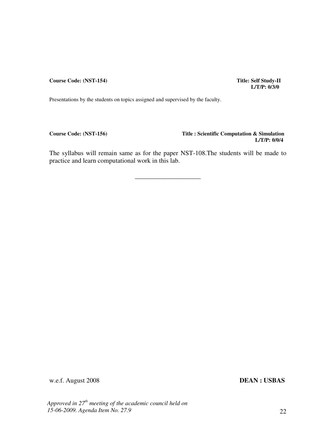**Course Code: (NST-154)** Title: Self Study-II

 **L/T/P: 0/3/0** 

Presentations by the students on topics assigned and supervised by the faculty.

**Course Code: (NST-156) Title : Scientific Computation & Simulation L/T/P: 0/0/4** 

The syllabus will remain same as for the paper NST-108.The students will be made to practice and learn computational work in this lab.

\_\_\_\_\_\_\_\_\_\_\_\_\_\_\_\_\_\_\_\_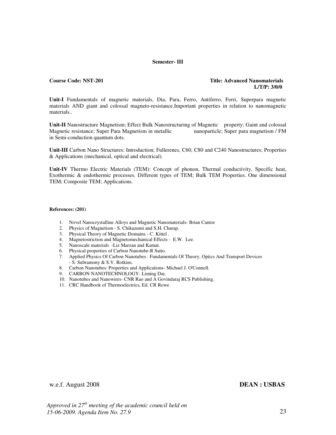#### **Semester- III**

### **Course Code: NST-201 Title: Advanced Nanomaterials L/T/P: 3/0/0**

**Unit-I** Fundamentals of magnetic materials, Dia, Para, Ferro, Antiferro, Ferri, Superpara magnetic materials AND giant and colossal magneto-resistance.Important properties in relation to nanomagnetic materials..

**Unit-II** Nanostructure Magnetism; Effect Bulk Nanostructuring of Magnetic property; Gaint and colossal Magnetic resistance; Super Para Magnetism in metallic nanoparticle; Super para magnetism / FM in Semi-conduction quantum dots.

**Unit-III** Carbon Nano Structures: Introduction; Fullerenes, C60, C80 and C240 Nanostructures; Properties & Applications (mechanical, optical and electrical).

**Unit-IV** Thermo Electric Materials (TEM): Concept of phonon, Thermal conductivity, Specific heat, Exothermic & endothermic processes. Different types of TEM; Bulk TEM Properties. One dimensional TEM; Composite TEM; Applications.

#### **References: (201)**

- 1. Novel Nanocrystalline Alloys and Magnetic Nanomaterials- Brian Cantor
- 2. Physics of Magnetism S. Chikazumi and S.H. Charap.
- 3. Physical Theory of Magnetic Domains C. Kittel .
- 4. Magnetostriction and Magnetomechanical Effects E.W. Lee.
- 5. Nanoscale materials -Liz Marzan and Kamat.
- 6. Physical properties of Carbon Nanotube-R Satio.
- 7. Applied Physics Of Carbon Nanotubes : Fundamentals Of Theory, Optics And Transport Devices - S. Subramony & S.V. Rotkins.
- 8. Carbon Nanotubes: Properties and Applications- Michael J. O'Connell.
- 9. CARBON NANOTECHNOLOGY- Liming Dai.
- 10. Nanotubes and Nanowires- CNR Rao and A Govindaraj RCS Publishing.
- 11. CRC Handbook of Thermoelectrics, Ed. CR Rowe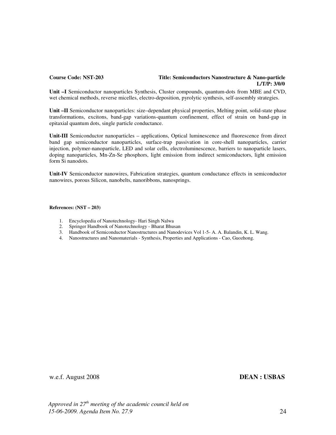### **Course Code: NST-203 Title: Semiconductors Nanostructure & Nano-particle L/T/P: 3/0/0**

**Unit –I** Semiconductor nanoparticles Synthesis, Cluster compounds, quantum-dots from MBE and CVD, wet chemical methods, reverse micelles, electro-deposition, pyrolytic synthesis, self-assembly strategies.

**Unit –II** Semiconductor nanoparticles: size–dependant physical properties, Melting point, solid-state phase transformations, excitons, band-gap variations-quantum confinement, effect of strain on band-gap in epitaxial quantum dots, single particle conductance.

**Unit-III** Semiconductor nanoparticles – applications, Optical luminescence and fluorescence from direct band gap semiconductor nanoparticles, surface-trap passivation in core-shell nanoparticles, carrier injection, polymer-nanoparticle, LED and solar cells, electroluminescence, barriers to nanoparticle lasers, doping nanoparticles, Mn-Zn-Se phosphors, light emission from indirect semiconductors, light emission form Si nanodots.

**Unit-IV** Semiconductor nanowires, Fabrication strategies, quantum conductance effects in semiconductor nanowires, porous Silicon, nanobelts, nanoribbons, nanosprings.

#### **References: (NST – 203)**

- 1. Encyclopedia of Nanotechnology- Hari Singh Nalwa
- 2. Springer Handbook of Nanotechnology Bharat Bhusan
- 3. Handbook of Semiconductor Nanostructures and Nanodevices Vol 1-5- A. A. Balandin, K. L. Wang.
- 4. Nanostructures and Nanomaterials Synthesis, Properties and Applications Cao, Guozhong.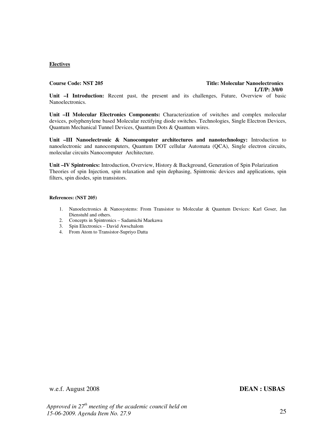### **Electives**

### **Course Code: NST 205 Title: Molecular Nanoelectronics L/T/P: 3/0/0**

**Unit –I Introduction:** Recent past, the present and its challenges, Future, Overview of basic Nanoelectronics.

**Unit –II Molecular Electronics Components:** Characterization of switches and complex molecular devices, polyphenylene based Molecular rectifying diode switches. Technologies, Single Electron Devices, Quantum Mechanical Tunnel Devices, Quantum Dots & Quantum wires.

**Unit –III Nanoelectronic & Nanocomputer architectures and nanotechnology:** Introduction to nanoelectronic and nanocomputers, Quantum DOT cellular Automata (QCA), Single electron circuits, molecular circuits Nanocomputer Architecture.

**Unit –IV Spintronics:** Introduction, Overview, History & Background, Generation of Spin Polarization Theories of spin Injection, spin relaxation and spin dephasing, Spintronic devices and applications, spin filters, spin diodes, spin transistors.

#### **References: (NST 205)**

- 1. Nanoelectronics & Nanosystems: From Transistor to Molecular & Quantum Devices: Karl Goser, Jan Dienstuhl and others.
- 2. Concepts in Spintronics Sadamichi Maekawa
- 3. Spin Electronics David Awschalom
- 4. From Atom to Transistor-Supriyo Datta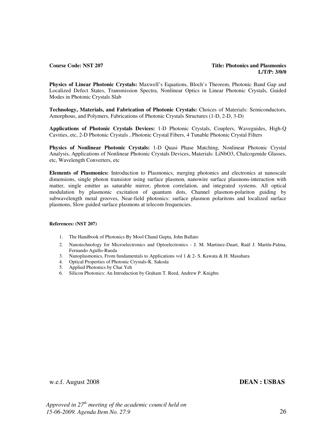**Physics of Linear Photonic Crystals:** Maxwell's Equations, Bloch's Theorem, Photonic Band Gap and Localized Defect States, Transmission Spectra, Nonlinear Optics in Linear Photonic Crystals, Guided Modes in Photonic Crystals Slab

**Technology, Materials, and Fabrication of Photonic Crystals:** Choices of Materials: Semiconductors, Amorphous, and Polymers, Fabrications of Photonic Crystals Structures (1-D, 2-D, 3-D)

**Applications of Photonic Crystals Devices:** 1-D Photonic Crystals, Couplers, Waveguides, High-Q Cavities, etc, 2-D Photonic Crystals , Photonic Crystal Fibers, 4 Tunable Photonic Crystal Filters

**Physics of Nonlinear Photonic Crystals:** 1-D Quasi Phase Matching, Nonlinear Photonic Crystal Analysis, Applications of Nonlinear Photonic Crystals Devices, Materials: LiNbO3, Chalcogenide Glasses, etc, Wavelength Converters, etc

**Elements of Plasmonics:** Introduction to Plasmonics, merging photonics and electronics at nanoscale dimensions, single photon transistor using surface plasmon, nanowire surface plasmons-interaction with matter, single emitter as saturable mirror, photon correlation, and integrated systems. All optical modulation by plasmonic excitation of quantum dots, Channel plasmon-polariton guiding by subwavelength metal grooves, Near-field photonics: surface plasmon polaritons and localized surface plasmons, Slow guided surface plasmons at telecom frequencies.

### **References: (NST 207)**

- 1. The Handbook of Photonics By Mool Chand Gupta, John Ballato
- 2. Nanotechnology for Microelectronics and Optoelectronics J. M. Martinez-Duart, Raúl J. Martín-Palma, Fernando Agullo-Rueda
- 3. Nanoplasmonics, From fundamentals to Applications vol 1 & 2- S. Kawata & H. Masuhara
- 4. Optical Properties of Photonic Crystals-K. Sakoda
- 5. Applied Photonics by Chai Yeh
- 6. Silicon Photonics: An Introduction by Graham T. Reed, Andrew P. Knights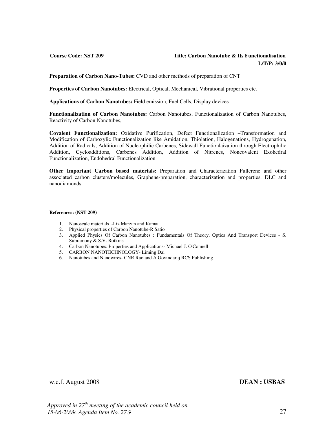### **Course Code: NST 209 Title: Carbon Nanotube & Its Functionalisation L/T/P: 3/0/0**

**Preparation of Carbon Nano-Tubes:** CVD and other methods of preparation of CNT

**Properties of Carbon Nanotubes:** Electrical, Optical, Mechanical, Vibrational properties etc.

**Applications of Carbon Nanotubes:** Field emission, Fuel Cells, Display devices

**Functionalization of Carbon Nanotubes:** Carbon Nanotubes, Functionalization of Carbon Nanotubes, Reactivity of Carbon Nanotubes,

**Covalent Functionalization:** Oxidative Purification, Defect Functionalization –Transformation and Modification of Carboxylic Functionalization like Amidation, Thiolation, Halogenations, Hydrogenation, Addition of Radicals, Addition of Nucleophilic Carbenes, Sidewall Functionlaization through Electrophilic Addition, Cycloadditions, Carbenes Addition, Addition of Nitrenes, Noncovalent Exohedral Functionalization, Endohedral Functionalization

**Other Important Carbon based materials:** Preparation and Characterization Fullerene and other associated carbon clusters/molecules, Graphene-preparation, characterization and properties, DLC and nanodiamonds.

#### **References: (NST 209)**

- 1. Nanoscale materials -Liz Marzan and Kamat
- 2. Physical properties of Carbon Nanotube-R Satio
- 3. Applied Physics Of Carbon Nanotubes : Fundamentals Of Theory, Optics And Transport Devices S. Subramony & S.V. Rotkins
- 4. Carbon Nanotubes: Properties and Applications- Michael J. O'Connell
- 5. CARBON NANOTECHNOLOGY- Liming Dai
- 6. Nanotubes and Nanowires- CNR Rao and A Govindaraj RCS Publishing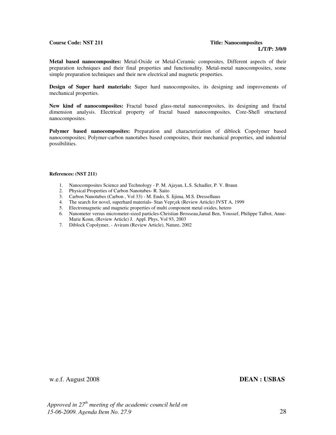### **Course Code: NST 211 Title: Nanocomposites**

# **L/T/P: 3/0/0**

**Metal based nanocomposites:** Metal-Oxide or Metal-Ceramic composites, Different aspects of their preparation techniques and their final properties and functionality. Metal-metal nanocomposites, some simple preparation techniques and their new electrical and magnetic properties.

**Design of Super hard materials:** Super hard nanocomposites, its designing and improvements of mechanical properties.

**New kind of nanocomposites:** Fractal based glass-metal nanocomposites, its designing and fractal dimension analysis. Electrical property of fractal based nanocomposites. Core-Shell structured nanocomposites.

**Polymer based nanocomposites:** Preparation and characterization of diblock Copolymer based nanocomposites; Polymer-carbon nanotubes based composites, their mechanical properties, and industrial possibilities.

#### **References: (NST 211)**

- 1. Nanocomposites Science and Technology P. M. Ajayan, L.S. Schadler, P. V. Braun
- 2. Physical Properties of Carbon Nanotubes- R. Saito
- 3. Carbon Nanotubes (Carbon , Vol 33) M. Endo, S. Iijima, M.S. Dresselhaus
- 4. The search for novel, superhard materials- Stan Vepr¡ek (Review Article) JVST A, 1999
- 5. Electromagnetic and magnetic properties of multi component metal oxides, hetero
- 6. Nanometer versus micrometer-sized particles-Christian Brosseau,Jamal Ben, Youssef, Philippe Talbot, Anne-Marie Konn, (Review Article) J. Appl. Phys, Vol 93, 2003
- 7. Diblock Copolymer, Aviram (Review Article), Nature, 2002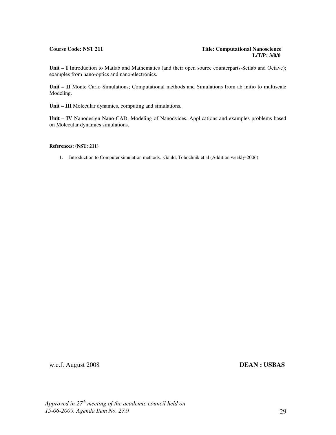#### **Course Code: NST 211 Title: Computational Nanoscience L/T/P: 3/0/0**

Unit – I Introduction to Matlab and Mathematics (and their open source counterparts-Scilab and Octave); examples from nano-optics and nano-electronics.

**Unit – II** Monte Carlo Simulations; Computational methods and Simulations from ab initio to multiscale Modeling.

**Unit – III** Molecular dynamics, computing and simulations.

**Unit – IV** Nanodesign Nano-CAD, Modeling of Nanodvices. Applications and examples problems based on Molecular dynamics simulations.

#### **References: (NST: 211)**

1. Introduction to Computer simulation methods. Gould, Tobochnik et al (Addition weekly-2006)